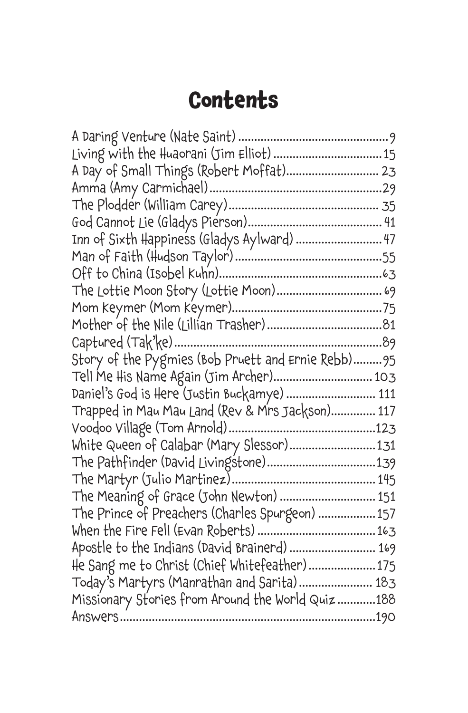## **Contents**

| A Day of Small Things (Robert Moffat) 23           |  |
|----------------------------------------------------|--|
|                                                    |  |
|                                                    |  |
|                                                    |  |
| Inn of Sixth Happiness (Gladys Aylward)  47        |  |
|                                                    |  |
|                                                    |  |
| The Lottie Moon Story (Lottie Moon) 69             |  |
|                                                    |  |
|                                                    |  |
|                                                    |  |
| Story of the Pygmies (Bob Pruett and Ernie Rebb)95 |  |
|                                                    |  |
| Daniel's God is Here (Justin Buckamye)  111        |  |
| Trapped in Mau Mau Land (Rev & M'rs Jackson) 117   |  |
|                                                    |  |
| White Queen of Calabar (Mary Slessor) 131          |  |
|                                                    |  |
|                                                    |  |
| The Meaning of Grace (John Newton)  151            |  |
| The Prince of Preachers (Charles Spurgeon)  157    |  |
|                                                    |  |
| Apostle to the Indians (David Brainerd)  169       |  |
| He Sang me to Christ (Chief Whitefeather)  175     |  |
| Today's Martyrs (Manrathan and Sarita) 183         |  |
| Missionary Stories from Around the World Quiz 188  |  |
| Answers                                            |  |